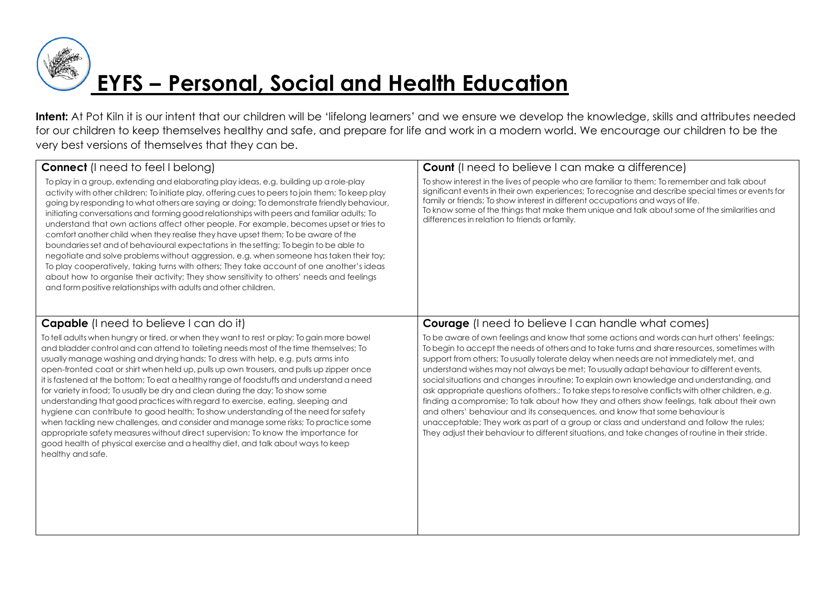

Intent: At Pot Kiln it is our intent that our children will be 'lifelong learners' and we ensure we develop the knowledge, skills and attributes needed for our children to keep themselves healthy and safe, and prepare for life and work in a modern world. We encourage our children to be the very best versions of themselves that they can be.

| <b>Connect</b> (I need to feel I belong)                                                                                                                                                                                                                                                                                                                                                                                                                                                                                                                                                                                                                                                                                                                                                                                                                                                                                                                                                                                | <b>Count</b> (I need to believe I can make a difference)                                                                                                                                                                                                                                                                                                                                                                                                                                                                                                                                                                                                                                                                                                                                                                                                                                                                                                           |
|-------------------------------------------------------------------------------------------------------------------------------------------------------------------------------------------------------------------------------------------------------------------------------------------------------------------------------------------------------------------------------------------------------------------------------------------------------------------------------------------------------------------------------------------------------------------------------------------------------------------------------------------------------------------------------------------------------------------------------------------------------------------------------------------------------------------------------------------------------------------------------------------------------------------------------------------------------------------------------------------------------------------------|--------------------------------------------------------------------------------------------------------------------------------------------------------------------------------------------------------------------------------------------------------------------------------------------------------------------------------------------------------------------------------------------------------------------------------------------------------------------------------------------------------------------------------------------------------------------------------------------------------------------------------------------------------------------------------------------------------------------------------------------------------------------------------------------------------------------------------------------------------------------------------------------------------------------------------------------------------------------|
| To play in a group, extending and elaborating play ideas, e.g. building up a role-play<br>activity with other children; To initiate play, offering cues to peers to join them; To keep play<br>going by responding to what others are saying or doing; To demonstrate friendly behaviour,<br>initiating conversations and forming good relationships with peers and familiar adults; To<br>understand that own actions affect other people. For example, becomes upset or tries to<br>comfort another child when they realise they have upset them; To be aware of the<br>boundaries set and of behavioural expectations in the setting; To begin to be able to<br>negotiate and solve problems without aggression, e.g. when someone has taken their toy;<br>To play cooperatively, taking turns with others; They take account of one another's ideas<br>about how to organise their activity; They show sensitivity to others' needs and feelings<br>and form positive relationships with adults and other children. | To show interest in the lives of people who are familiar to them; To remember and talk about<br>significant events in their own experiences; To recognise and describe special times or events for<br>family or friends; To show interest in different occupations and ways of life.<br>To know some of the things that make them unique and talk about some of the similarities and<br>differences in relation to friends or family.                                                                                                                                                                                                                                                                                                                                                                                                                                                                                                                              |
| <b>Capable</b> (I need to believe I can do it)                                                                                                                                                                                                                                                                                                                                                                                                                                                                                                                                                                                                                                                                                                                                                                                                                                                                                                                                                                          | <b>Courage</b> (I need to believe I can handle what comes)                                                                                                                                                                                                                                                                                                                                                                                                                                                                                                                                                                                                                                                                                                                                                                                                                                                                                                         |
| To tell adults when hungry or tired, or when they want to rest or play; To gain more bowel<br>and bladder control and can attend to toileting needs most of the time themselves; To<br>usually manage washing and drying hands; To dress with help, e.g. puts arms into<br>open-fronted coat or shirt when held up, pulls up own trousers, and pulls up zipper once<br>it is fastened at the bottom; To eat a healthy range of foodstuffs and understand a need<br>for variety in food; To usually be dry and clean during the day; To show some<br>understanding that good practices with regard to exercise, eating, sleeping and<br>hygiene can contribute to good health; To show understanding of the need for safety<br>when tackling new challenges, and consider and manage some risks; To practice some<br>appropriate safety measures without direct supervision; To know the importance for<br>good health of physical exercise and a healthy diet, and talk about ways to keep<br>healthy and safe.         | To be aware of own feelings and know that some actions and words can hurt others' feelings;<br>To begin to accept the needs of others and to take turns and share resources, sometimes with<br>support from others; To usually tolerate delay when needs are not immediately met, and<br>understand wishes may not always be met; To usually adapt behaviour to different events,<br>social situations and changes inroutine; To explain own knowledge and understanding, and<br>ask appropriate questions of others.; To take steps to resolve conflicts with other children, e.g.<br>finding a compromise; To talk about how they and others show feelings, talk about their own<br>and others' behaviour and its consequences, and know that some behaviour is<br>unacceptable; They work as part of a group or class and understand and follow the rules;<br>They adjust their behaviour to different situations, and take changes of routine in their stride. |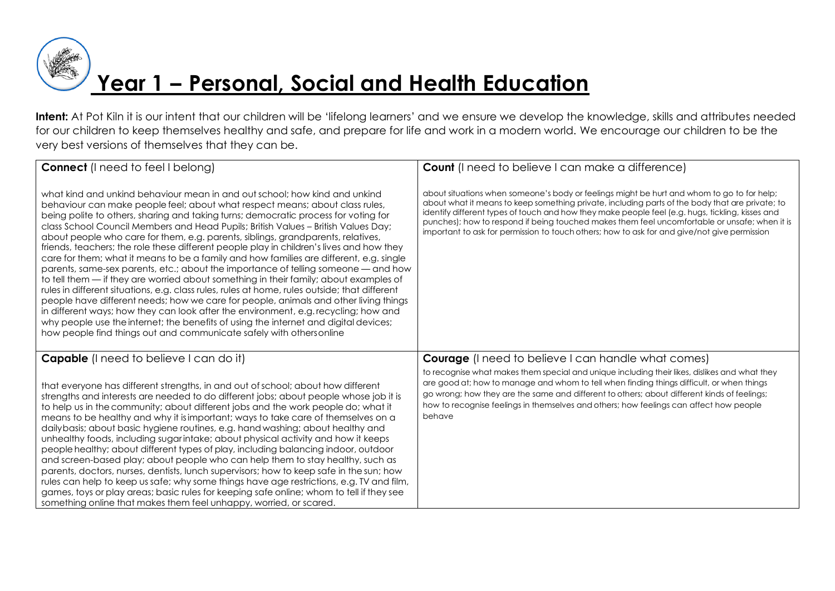

**Intent:** At Pot Kiln it is our intent that our children will be 'lifelong learners' and we ensure we develop the knowledge, skills and attributes needed for our children to keep themselves healthy and safe, and prepare for life and work in a modern world. We encourage our children to be the very best versions of themselves that they can be.

| <b>Connect</b> (I need to feel I belong)                                                                                                                                                                                                                                                                                                                                                                                                                                                                                                                                                                                                                                                                                                                                                                                                                                                                                                                                                                                                                                                                                                                                                                                                         | <b>Count</b> (I need to believe I can make a difference)                                                                                                                                                                                                                                                                                                                                                                                                                                           |
|--------------------------------------------------------------------------------------------------------------------------------------------------------------------------------------------------------------------------------------------------------------------------------------------------------------------------------------------------------------------------------------------------------------------------------------------------------------------------------------------------------------------------------------------------------------------------------------------------------------------------------------------------------------------------------------------------------------------------------------------------------------------------------------------------------------------------------------------------------------------------------------------------------------------------------------------------------------------------------------------------------------------------------------------------------------------------------------------------------------------------------------------------------------------------------------------------------------------------------------------------|----------------------------------------------------------------------------------------------------------------------------------------------------------------------------------------------------------------------------------------------------------------------------------------------------------------------------------------------------------------------------------------------------------------------------------------------------------------------------------------------------|
| what kind and unkind behaviour mean in and out school; how kind and unkind<br>behaviour can make people feel; about what respect means; about class rules,<br>being polite to others, sharing and taking turns; democratic process for voting for<br>class School Council Members and Head Pupils; British Values - British Values Day;<br>about people who care for them, e.g. parents, siblings, grandparents, relatives,<br>friends, teachers; the role these different people play in children's lives and how they<br>care for them; what it means to be a family and how families are different, e.g. single<br>parents, same-sex parents, etc.; about the importance of telling someone — and how<br>to tell them — if they are worried about something in their family; about examples of<br>rules in different situations, e.g. class rules, rules at home, rules outside; that different<br>people have different needs; how we care for people, animals and other living things<br>in different ways; how they can look after the environment, e.g. recycling; how and<br>why people use the internet; the benefits of using the internet and digital devices;<br>how people find things out and communicate safely with othersonline | about situations when someone's body or feelings might be hurt and whom to go to for help;<br>about what it means to keep something private, including parts of the body that are private; to<br>identify different types of touch and how they make people feel (e.g. hugs, tickling, kisses and<br>punches); how to respond if being touched makes them feel uncomfortable or unsafe; when it is<br>important to ask for permission to touch others; how to ask for and give/not give permission |
| <b>Capable</b> (I need to believe I can do it)<br>that everyone has different strengths, in and out of school; about how different<br>strengths and interests are needed to do different jobs; about people whose job it is<br>to help us in the community; about different jobs and the work people do; what it<br>means to be healthy and why it is important; ways to take care of themselves on a                                                                                                                                                                                                                                                                                                                                                                                                                                                                                                                                                                                                                                                                                                                                                                                                                                            | <b>Courage</b> (I need to believe I can handle what comes)<br>to recognise what makes them special and unique including their likes, dislikes and what they<br>are good at; how to manage and whom to tell when finding things difficult, or when things<br>go wrong; how they are the same and different to others; about different kinds of feelings;<br>how to recognise feelings in themselves and others; how feelings can affect how people<br>behave                                        |
| dailybasis; about basic hygiene routines, e.g. hand washing; about healthy and<br>unhealthy foods, including sugarintake; about physical activity and how it keeps<br>people healthy; about different types of play, including balancing indoor, outdoor<br>and screen-based play; about people who can help them to stay healthy, such as<br>parents, doctors, nurses, dentists, lunch supervisors; how to keep safe in the sun; how<br>rules can help to keep us safe; why some things have age restrictions, e.g. TV and film,<br>games, toys or play areas; basic rules for keeping safe online; whom to tell if they see<br>something online that makes them feel unhappy, worried, or scared.                                                                                                                                                                                                                                                                                                                                                                                                                                                                                                                                              |                                                                                                                                                                                                                                                                                                                                                                                                                                                                                                    |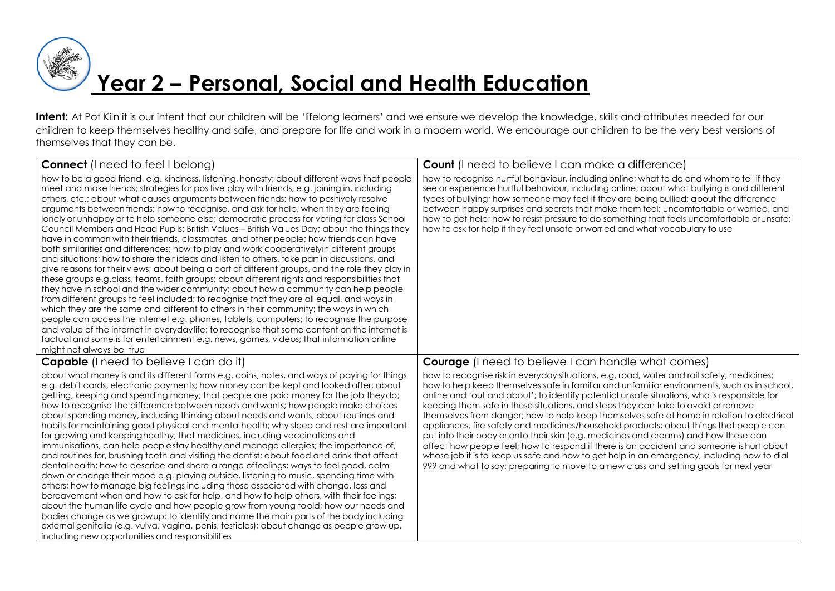

# **Year 2 – Personal, Social and Health Education**

Intent: At Pot Kiln it is our intent that our children will be 'lifelong learners' and we ensure we develop the knowledge, skills and attributes needed for our children to keep themselves healthy and safe, and prepare for life and work in a modern world. We encourage our children to be the very best versions of themselves that they can be.

| <b>Connect</b> (I need to feel I belong)                                                                                                                                                                                                                                                                                                                                                                                                                                                                                                                                                                                                                                                                                                                                                                                                                                                                                                                                                                                                                                                                                                                                                                                                                                                                                                                                                                                                                                                                                                                                                                                                                         | <b>Count</b> (I need to believe I can make a difference)                                                                                                                                                                                                                                                                                                                                                                                                                                                                                                                                                                                                                                                                                                                                                                                                                                                                                          |
|------------------------------------------------------------------------------------------------------------------------------------------------------------------------------------------------------------------------------------------------------------------------------------------------------------------------------------------------------------------------------------------------------------------------------------------------------------------------------------------------------------------------------------------------------------------------------------------------------------------------------------------------------------------------------------------------------------------------------------------------------------------------------------------------------------------------------------------------------------------------------------------------------------------------------------------------------------------------------------------------------------------------------------------------------------------------------------------------------------------------------------------------------------------------------------------------------------------------------------------------------------------------------------------------------------------------------------------------------------------------------------------------------------------------------------------------------------------------------------------------------------------------------------------------------------------------------------------------------------------------------------------------------------------|---------------------------------------------------------------------------------------------------------------------------------------------------------------------------------------------------------------------------------------------------------------------------------------------------------------------------------------------------------------------------------------------------------------------------------------------------------------------------------------------------------------------------------------------------------------------------------------------------------------------------------------------------------------------------------------------------------------------------------------------------------------------------------------------------------------------------------------------------------------------------------------------------------------------------------------------------|
| how to be a good friend, e.g. kindness, listening, honesty; about different ways that people<br>meet and make friends; strategies for positive play with friends, e.g. joining in, including<br>others, etc.; about what causes arguments between friends; how to positively resolve<br>arguments between friends; how to recognise, and ask for help, when they are feeling<br>lonely or unhappy or to help someone else; democratic process for voting for class School<br>Council Members and Head Pupils; British Values – British Values Day; about the things they<br>have in common with their friends, classmates, and other people; how friends can have<br>both similarities and differences; how to play and work cooperativelyin different groups<br>and situations; how to share their ideas and listen to others, take part in discussions, and<br>give reasons for their views; about being a part of different groups, and the role they play in<br>these groups e.g.class, teams, faith groups; about different rights and responsibilities that<br>they have in school and the wider community; about how a community can help people<br>from different groups to feel included; to recognise that they are all equal, and ways in<br>which they are the same and different to others in their community; the ways in which<br>people can access the internet e.g. phones, tablets, computers; to recognise the purpose<br>and value of the internet in everydaylife; to recognise that some content on the internet is<br>factual and some is for entertainment e.g. news, games, videos; that information online<br>might not always be true | how to recognise hurtful behaviour, including online; what to do and whom to tell if they<br>see or experience hurtful behaviour, including online; about what bullying is and different<br>types of bullying; how someone may feel if they are being bullied; about the difference<br>between happy surprises and secrets that make them feel; uncomfortable or worried, and<br>how to get help; how to resist pressure to do something that feels uncomfortable or unsafe;<br>how to ask for help if they feel unsafe or worried and what vocabulary to use                                                                                                                                                                                                                                                                                                                                                                                     |
| <b>Capable</b> (I need to believe I can do it)                                                                                                                                                                                                                                                                                                                                                                                                                                                                                                                                                                                                                                                                                                                                                                                                                                                                                                                                                                                                                                                                                                                                                                                                                                                                                                                                                                                                                                                                                                                                                                                                                   | <b>Courage</b> (I need to believe I can handle what comes)                                                                                                                                                                                                                                                                                                                                                                                                                                                                                                                                                                                                                                                                                                                                                                                                                                                                                        |
| about what money is and its different forms e.g. coins, notes, and ways of paying for things<br>e.g. debit cards, electronic payments; how money can be kept and looked after; about<br>getting, keeping and spending money; that people are paid money for the job theydo;<br>how to recognise the difference between needs and wants; how people make choices<br>about spending money, including thinking about needs and wants; about routines and<br>habits for maintaining good physical and mental health; why sleep and rest are important<br>for growing and keeping healthy; that medicines, including vaccinations and<br>immunisations, can help people stay healthy and manage allergies; the importance of,<br>and routines for, brushing teeth and visiting the dentist; about food and drink that affect<br>dentalhealth; how to describe and share a range offeelings; ways to feel good, calm<br>down or change their mood e.g. playing outside, listening to music, spending time with<br>others; how to manage big feelings including those associated with change, loss and<br>bereavement when and how to ask for help, and how to help others, with their feelings;<br>about the human life cycle and how people grow from young toold; how our needs and<br>bodies change as we growup; to identify and name the main parts of the body including<br>external genitalia (e.g. vulva, vagina, penis, testicles); about change as people grow up,<br>including new opportunities and responsibilities                                                                                                                                       | how to recognise risk in everyday situations, e.g. road, water and rail safety, medicines;<br>how to help keep themselves safe in familiar and unfamiliar environments, such as in school,<br>online and 'out and about'; to identify potential unsafe situations, who is responsible for<br>keeping them safe in these situations, and steps they can take to avoid or remove<br>themselves from danger; how to help keep themselves safe at home in relation to electrical<br>appliances, fire safety and medicines/household products; about things that people can<br>put into their body or onto their skin (e.g. medicines and creams) and how these can<br>affect how people feel; how to respond if there is an accident and someone is hurt about<br>whose job it is to keep us safe and how to get help in an emergency, including how to dial<br>999 and what to say; preparing to move to a new class and setting goals for next year |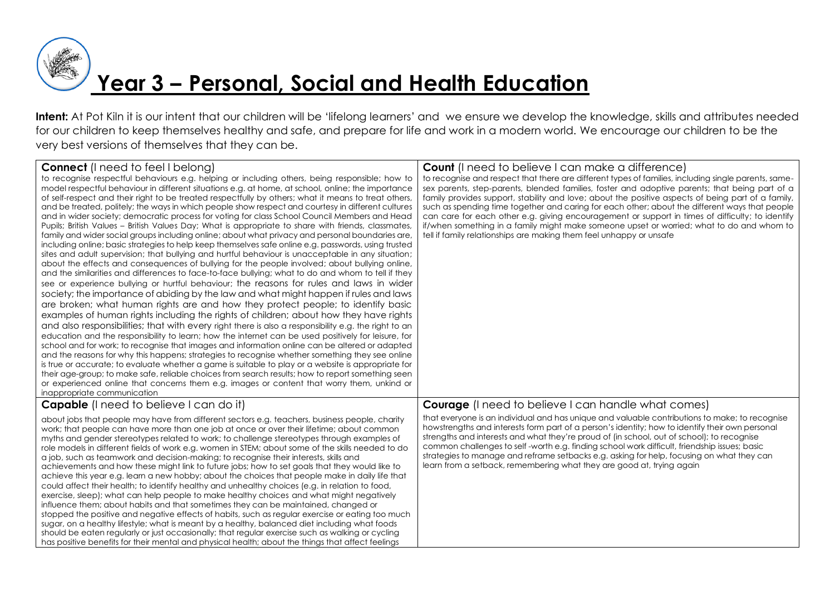

**Year 3 – Personal, Social and Health Education**

Intent: At Pot Kiln it is our intent that our children will be 'lifelong learners' and we ensure we develop the knowledge, skills and attributes needed for our children to keep themselves healthy and safe, and prepare for life and work in a modern world. We encourage our children to be the very best versions of themselves that they can be.

| <b>Connect</b> (I need to feel I belong)<br>to recognise respectful behaviours e.g. helping or including others, being responsible; how to<br>model respectful behaviour in different situations e.g. at home, at school, online; the importance<br>of self-respect and their right to be treated respectfully by others; what it means to treat others,<br>and be treated, politely; the ways in which people show respect and courtesy in different cultures<br>and in wider society; democratic process for voting for class School Council Members and Head<br>Pupils; British Values – British Values Day; What is appropriate to share with friends, classmates,<br>family and wider social groups including online; about what privacy and personal boundaries are,<br>including online; basic strategies to help keep themselves safe online e.g. passwords, using trusted<br>sites and adult supervision; that bullying and hurtful behaviour is unacceptable in any situation;<br>about the effects and consequences of bullying for the people involved; about bullying online,<br>and the similarities and differences to face-to-face bullying; what to do and whom to tell if they<br>see or experience bullying or hurtful behaviour; the reasons for rules and laws in wider<br>society; the importance of abiding by the law and what might happen if rules and laws<br>are broken; what human rights are and how they protect people; to identify basic<br>examples of human rights including the rights of children; about how they have rights<br>and also responsibilities; that with every right there is also a responsibility e.g. the right to an<br>education and the responsibility to learn; how the internet can be used positively for leisure, for<br>school and for work; to recognise that images and information online can be altered or adapted<br>and the reasons for why this happens; strategies to recognise whether something they see online<br>is true or accurate; to evaluate whether a game is suitable to play or a website is appropriate for<br>their age-group; to make safe, reliable choices from search results; how to report something seen<br>or experienced online that concerns them e.g. images or content that worry them, unkind or<br>inappropriate communication | <b>Count</b> (I need to believe I can make a difference)<br>to recognise and respect that there are different types of families, including single parents, same-<br>sex parents, step-parents, blended families, foster and adoptive parents; that being part of a<br>family provides support, stability and love; about the positive aspects of being part of a family,<br>such as spending time together and caring for each other; about the different ways that people<br>can care for each other e.g. giving encouragement or support in times of difficulty; to identify<br>if/when something in a family might make someone upset or worried; what to do and whom to<br>tell if family relationships are making them feel unhappy or unsafe |
|---------------------------------------------------------------------------------------------------------------------------------------------------------------------------------------------------------------------------------------------------------------------------------------------------------------------------------------------------------------------------------------------------------------------------------------------------------------------------------------------------------------------------------------------------------------------------------------------------------------------------------------------------------------------------------------------------------------------------------------------------------------------------------------------------------------------------------------------------------------------------------------------------------------------------------------------------------------------------------------------------------------------------------------------------------------------------------------------------------------------------------------------------------------------------------------------------------------------------------------------------------------------------------------------------------------------------------------------------------------------------------------------------------------------------------------------------------------------------------------------------------------------------------------------------------------------------------------------------------------------------------------------------------------------------------------------------------------------------------------------------------------------------------------------------------------------------------------------------------------------------------------------------------------------------------------------------------------------------------------------------------------------------------------------------------------------------------------------------------------------------------------------------------------------------------------------------------------------------------------------------------------------------------------------------------------------------------|----------------------------------------------------------------------------------------------------------------------------------------------------------------------------------------------------------------------------------------------------------------------------------------------------------------------------------------------------------------------------------------------------------------------------------------------------------------------------------------------------------------------------------------------------------------------------------------------------------------------------------------------------------------------------------------------------------------------------------------------------|
| <b>Capable</b> (I need to believe I can do it)                                                                                                                                                                                                                                                                                                                                                                                                                                                                                                                                                                                                                                                                                                                                                                                                                                                                                                                                                                                                                                                                                                                                                                                                                                                                                                                                                                                                                                                                                                                                                                                                                                                                                                                                                                                                                                                                                                                                                                                                                                                                                                                                                                                                                                                                                  | <b>Courage</b> (I need to believe I can handle what comes)                                                                                                                                                                                                                                                                                                                                                                                                                                                                                                                                                                                                                                                                                         |
| about jobs that people may have from different sectors e.g. teachers, business people, charity<br>work; that people can have more than one job at once or over their lifetime; about common<br>myths and gender stereotypes related to work; to challenge stereotypes through examples of<br>role models in different fields of work e.g. women in STEM; about some of the skills needed to do<br>a job, such as teamwork and decision-making; to recognise their interests, skills and<br>achievements and how these might link to future jobs; how to set goals that they would like to<br>achieve this year e.g. learn a new hobby; about the choices that people make in daily life that<br>could affect their health; to identify healthy and unhealthy choices (e.g. in relation to food,<br>exercise, sleep); what can help people to make healthy choices and what might negatively<br>influence them; about habits and that sometimes they can be maintained, changed or<br>stopped the positive and negative effects of habits, such as regular exercise or eating too much<br>sugar, on a healthy lifestyle; what is meant by a healthy, balanced diet including what foods<br>should be eaten regularly or just occasionally; that regular exercise such as walking or cycling<br>has positive benefits for their mental and physical health; about the things that affect feelings                                                                                                                                                                                                                                                                                                                                                                                                                                                                                                                                                                                                                                                                                                                                                                                                                                                                                                                                 | that everyone is an individual and has unique and valuable contributions to make; to recognise<br>howstrengths and interests form part of a person's identity; how to identify their own personal<br>strengths and interests and what they're proud of (in school, out of school); to recognise<br>common challenges to self-worth e.g. finding school work difficult, friendship issues; basic<br>strategies to manage and reframe setbacks e.g. asking for help, focusing on what they can<br>learn from a setback, remembering what they are good at, trying again                                                                                                                                                                              |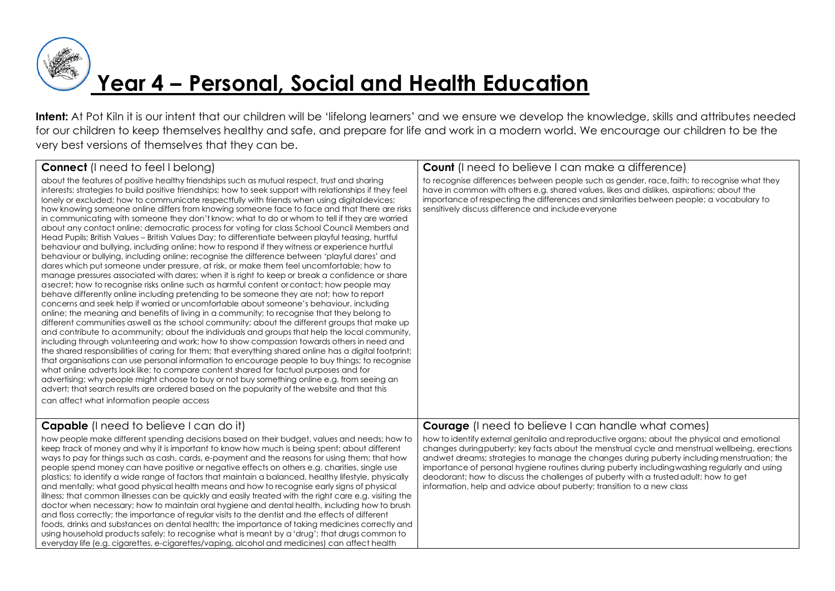

### **Year 4 – Personal, Social and Health Education**

**Intent:** At Pot Kiln it is our intent that our children will be 'lifelong learners' and we ensure we develop the knowledge, skills and attributes needed for our children to keep themselves healthy and safe, and prepare for life and work in a modern world. We encourage our children to be the very best versions of themselves that they can be.

| <b>Connect</b> (I need to feel I belong)                                                                                                                                                                                                                                                                                                                                                                                                                                                                                                                                                                                                                                                                                                                                                                                                                                                                                                                                                                                                                                                                                                                                                                                                                                                                                                                                                                                                                                                                                                                                                                                                                                                                                                                                                                                                                                                                                                                                                                                                                                                                                                                                                                                                                                                                                                                | <b>Count</b> (I need to believe I can make a difference)                                                                                                                                                                                                                                                                                                                                                                                                                                                                                                      |
|---------------------------------------------------------------------------------------------------------------------------------------------------------------------------------------------------------------------------------------------------------------------------------------------------------------------------------------------------------------------------------------------------------------------------------------------------------------------------------------------------------------------------------------------------------------------------------------------------------------------------------------------------------------------------------------------------------------------------------------------------------------------------------------------------------------------------------------------------------------------------------------------------------------------------------------------------------------------------------------------------------------------------------------------------------------------------------------------------------------------------------------------------------------------------------------------------------------------------------------------------------------------------------------------------------------------------------------------------------------------------------------------------------------------------------------------------------------------------------------------------------------------------------------------------------------------------------------------------------------------------------------------------------------------------------------------------------------------------------------------------------------------------------------------------------------------------------------------------------------------------------------------------------------------------------------------------------------------------------------------------------------------------------------------------------------------------------------------------------------------------------------------------------------------------------------------------------------------------------------------------------------------------------------------------------------------------------------------------------|---------------------------------------------------------------------------------------------------------------------------------------------------------------------------------------------------------------------------------------------------------------------------------------------------------------------------------------------------------------------------------------------------------------------------------------------------------------------------------------------------------------------------------------------------------------|
| about the features of positive healthy friendships such as mutual respect, trust and sharing<br>interests; strategies to build positive friendships; how to seek support with relationships if they feel<br>lonely or excluded; how to communicate respectfully with friends when using digitaldevices;<br>how knowing someone online differs from knowing someone face to face and that there are risks<br>in communicating with someone they don't know; what to do or whom to tell if they are worried<br>about any contact online; democratic process for voting for class School Council Members and<br>Head Pupils; British Values - British Values Day; to differentiate between playful teasing, hurtful<br>behaviour and bullying, including online; how to respond if they witness or experience hurtful<br>behaviour or bullying, including online; recognise the difference between 'playful dares' and<br>dares which put someone under pressure, at risk, or make them feel uncomfortable; how to<br>manage pressures associated with dares; when it is right to keep or break a confidence or share<br>asecret; how to recognise risks online such as harmful content or contact; how people may<br>behave differently online including pretending to be someone they are not; how to report<br>concerns and seek help if worried or uncomfortable about someone's behaviour, including<br>online; the meaning and benefits of living in a community; to recognise that they belong to<br>different communities aswell as the school community; about the different groups that make up<br>and contribute to acommunity; about the individuals and groups that help the local community,<br>including through volunteering and work; how to show compassion towards others in need and<br>the shared responsibilities of caring for them; that everything shared online has a digital footprint;<br>that organisations can use personal information to encourage people to buy things; to recognise<br>what online adverts look like; to compare content shared for factual purposes and for<br>advertising; why people might choose to buy or not buy something online e.g. from seeing an<br>advert; that search results are ordered based on the popularity of the website and that this<br>can affect what information people access | to recognise differences between people such as gender, race, faith; to recognise what they<br>have in common with others e.g. shared values, likes and dislikes, aspirations; about the<br>importance of respecting the differences and similarities between people; a vocabulary to<br>sensitively discuss difference and include everyone                                                                                                                                                                                                                  |
| <b>Capable</b> (I need to believe I can do it)                                                                                                                                                                                                                                                                                                                                                                                                                                                                                                                                                                                                                                                                                                                                                                                                                                                                                                                                                                                                                                                                                                                                                                                                                                                                                                                                                                                                                                                                                                                                                                                                                                                                                                                                                                                                                                                                                                                                                                                                                                                                                                                                                                                                                                                                                                          | <b>Courage</b> (I need to believe I can handle what comes)                                                                                                                                                                                                                                                                                                                                                                                                                                                                                                    |
| how people make different spending decisions based on their budget, values and needs; how to<br>keep track of money and why it is important to know how much is being spent; about different<br>ways to pay for things such as cash, cards, e-payment and the reasons for using them; that how<br>people spend money can have positive or negative effects on others e.g. charities, single use<br>plastics; to identify a wide range of factors that maintain a balanced, healthy lifestyle, physically<br>and mentally; what good physical health means and how to recognise early signs of physical<br>illness; that common illnesses can be quickly and easily treated with the right care e.g. visiting the<br>doctor when necessary; how to maintain oral hygiene and dental health, including how to brush<br>and floss correctly; the importance of regular visits to the dentist and the effects of different<br>foods, drinks and substances on dental health; the importance of taking medicines correctly and<br>using household products safely; to recognise what is meant by a 'drug'; that drugs common to<br>everyday life (e.g. cigarettes, e-cigarettes/vaping, alcohol and medicines) can affect health                                                                                                                                                                                                                                                                                                                                                                                                                                                                                                                                                                                                                                                                                                                                                                                                                                                                                                                                                                                                                                                                                                                             | how to identify external genitalia and reproductive organs; about the physical and emotional<br>changes during puberty; key facts about the menstrual cycle and menstrual wellbeing, erections<br>andwet dreams; strategies to manage the changes during puberty including menstruation; the<br>importance of personal hygiene routines during puberty including washing regularly and using<br>deodorant; how to discuss the challenges of puberty with a trusted adult; how to get<br>information, help and advice about puberty; transition to a new class |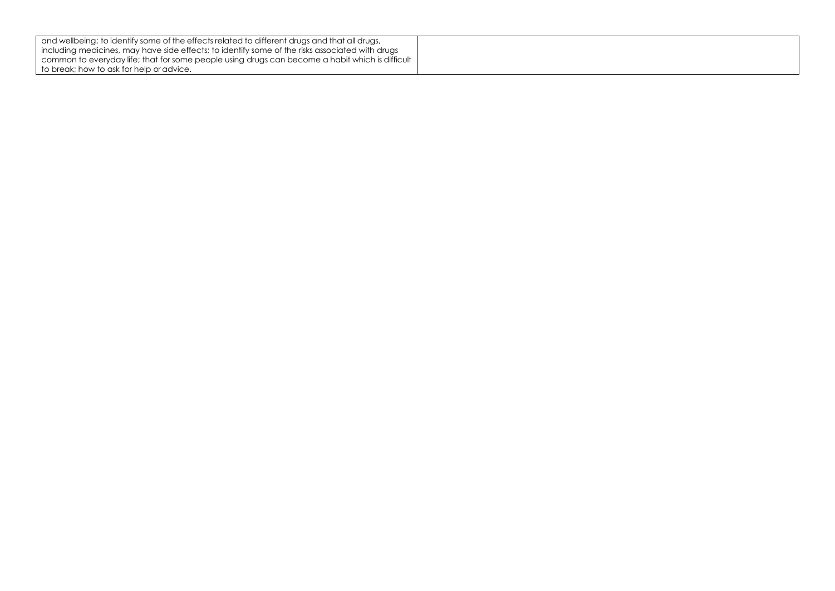| and wellbeing; to identify some of the effects related to different drugs and that all drugs,   |  |
|-------------------------------------------------------------------------------------------------|--|
| including medicines, may have side effects; to identify some of the risks associated with drugs |  |
| common to everyday life; that for some people using drugs can become a habit which is difficult |  |
| I to break: how to ask for help or advice.                                                      |  |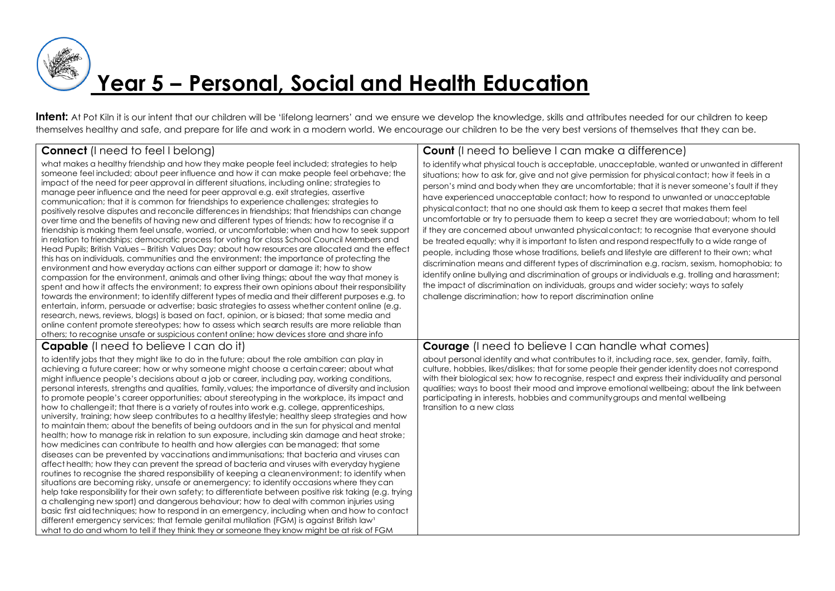

# **Year 5 – Personal, Social and Health Education**

Intent: At Pot Kiln it is our intent that our children will be 'lifelong learners' and we ensure we develop the knowledge, skills and attributes needed for our children to keep themselves healthy and safe, and prepare for life and work in a modern world. We encourage our children to be the very best versions of themselves that they can be.

| <b>Connect</b> (I need to feel I belong)                                                                                                                                                                                                                                                                                                                                                                                                                                                                                                                                                                                                                                                                                                                                                                                                                                                                                                                                                                                                                                                                                                                                                                                                                                                                                                                                                                                                                                                                                                                                                                                                                                                                                                                                                                                                                                                                                   | <b>Count</b> (I need to believe I can make a difference)                                                                                                                                                                                                                                                                                                                                                                                                                                                                                                                                                                                                                                                                                                                                                                                                                                                                                                                                                                                                                                                                                                                                                                                       |
|----------------------------------------------------------------------------------------------------------------------------------------------------------------------------------------------------------------------------------------------------------------------------------------------------------------------------------------------------------------------------------------------------------------------------------------------------------------------------------------------------------------------------------------------------------------------------------------------------------------------------------------------------------------------------------------------------------------------------------------------------------------------------------------------------------------------------------------------------------------------------------------------------------------------------------------------------------------------------------------------------------------------------------------------------------------------------------------------------------------------------------------------------------------------------------------------------------------------------------------------------------------------------------------------------------------------------------------------------------------------------------------------------------------------------------------------------------------------------------------------------------------------------------------------------------------------------------------------------------------------------------------------------------------------------------------------------------------------------------------------------------------------------------------------------------------------------------------------------------------------------------------------------------------------------|------------------------------------------------------------------------------------------------------------------------------------------------------------------------------------------------------------------------------------------------------------------------------------------------------------------------------------------------------------------------------------------------------------------------------------------------------------------------------------------------------------------------------------------------------------------------------------------------------------------------------------------------------------------------------------------------------------------------------------------------------------------------------------------------------------------------------------------------------------------------------------------------------------------------------------------------------------------------------------------------------------------------------------------------------------------------------------------------------------------------------------------------------------------------------------------------------------------------------------------------|
| what makes a healthy friendship and how they make people feel included; strategies to help<br>someone feel included; about peer influence and how it can make people feel orbehave; the<br>impact of the need for peer approval in different situations, including online; strategies to<br>manage peer influence and the need for peer approval e.g. exit strategies, assertive<br>communication; that it is common for friendships to experience challenges; strategies to<br>positively resolve disputes and reconcile differences in friendships; that friendships can change<br>over time and the benefits of having new and different types of friends; how to recognise if a<br>friendship is making them feel unsafe, worried, or uncomfortable; when and how to seek support<br>in relation to friendships; democratic process for voting for class School Council Members and<br>Head Pupils; British Values - British Values Day; about how resources are allocated and the effect<br>this has on individuals, communities and the environment; the importance of protecting the<br>environment and how everyday actions can either support or damage it; how to show<br>compassion for the environment, animals and other living things; about the way that money is<br>spent and how it affects the environment; to express their own opinions about their responsibility<br>towards the environment; to identify different types of media and their different purposes e.g. to<br>entertain, inform, persuade or advertise; basic strategies to assess whether content online (e.g.<br>research, news, reviews, blogs) is based on fact, opinion, or is biased; that some media and<br>online content promote stereotypes; how to assess which search results are more reliable than<br>others; to recognise unsafe or suspicious content online; how devices store and share info                           | to identify what physical touch is acceptable, unacceptable, wanted or unwanted in different<br>situations; how to ask for, give and not give permission for physical contact; how it feels in a<br>person's mind and body when they are uncomfortable; that it is never someone's fault if they<br>have experienced unacceptable contact; how to respond to unwanted or unacceptable<br>physical contact; that no one should ask them to keep a secret that makes them feel<br>uncomfortable or try to persuade them to keep a secret they are worried about; whom to tell<br>if they are concerned about unwanted physical contact; to recognise that everyone should<br>be treated equally; why it is important to listen and respond respectfully to a wide range of<br>people, including those whose traditions, beliefs and lifestyle are different to their own; what<br>discrimination means and different types of discrimination e.g. racism, sexism, homophobia; to<br>identify online bullying and discrimination of groups or individuals e.g. trolling and harassment;<br>the impact of discrimination on individuals, groups and wider society; ways to safely<br>challenge discrimination; how to report discrimination online |
| <b>Capable</b> (I need to believe I can do it)                                                                                                                                                                                                                                                                                                                                                                                                                                                                                                                                                                                                                                                                                                                                                                                                                                                                                                                                                                                                                                                                                                                                                                                                                                                                                                                                                                                                                                                                                                                                                                                                                                                                                                                                                                                                                                                                             | <b>Courage</b> (I need to believe I can handle what comes)                                                                                                                                                                                                                                                                                                                                                                                                                                                                                                                                                                                                                                                                                                                                                                                                                                                                                                                                                                                                                                                                                                                                                                                     |
| to identify jobs that they might like to do in the future; about the role ambition can play in<br>achieving a future career; how or why someone might choose a certain career; about what<br>might influence people's decisions about a job or career, including pay, working conditions,<br>personal interests, strengths and qualities, family, values; the importance of diversity and inclusion<br>to promote people's career opportunities; about stereotyping in the workplace, its impact and<br>how to challenge it; that there is a variety of routes into work e.g. college, apprenticeships,<br>university, training; how sleep contributes to a healthy lifestyle; healthy sleep strategies and how<br>to maintain them; about the benefits of being outdoors and in the sun for physical and mental<br>health; how to manage risk in relation to sun exposure, including skin damage and heat stroke;<br>how medicines can contribute to health and how allergies can be managed; that some<br>diseases can be prevented by vaccinations and immunisations; that bacteria and viruses can<br>affect health; how they can prevent the spread of bacteria and viruses with everyday hygiene<br>routines to recognise the shared responsibility of keeping a cleanenvironment; to identify when<br>situations are becoming risky, unsafe or anemergency; to identify occasions where they can<br>help take responsibility for their own safety; to differentiate between positive risk taking (e.g. trying<br>a challenging new sport) and dangerous behaviour; how to deal with common injuries using<br>basic first aid techniques; how to respond in an emergency, including when and how to contact<br>different emergency services; that female genital mutilation (FGM) is against British law <sup>1</sup><br>what to do and whom to tell if they think they or someone they know might be at risk of FGM | about personal identity and what contributes to it, including race, sex, gender, family, faith,<br>culture, hobbies, likes/dislikes; that for some people their gender identity does not correspond<br>with their biological sex; how to recognise, respect and express their individuality and personal<br>qualities; ways to boost their mood and improve emotional wellbeing; about the link between<br>participating in interests, hobbies and community groups and mental wellbeing<br>transition to a new class                                                                                                                                                                                                                                                                                                                                                                                                                                                                                                                                                                                                                                                                                                                          |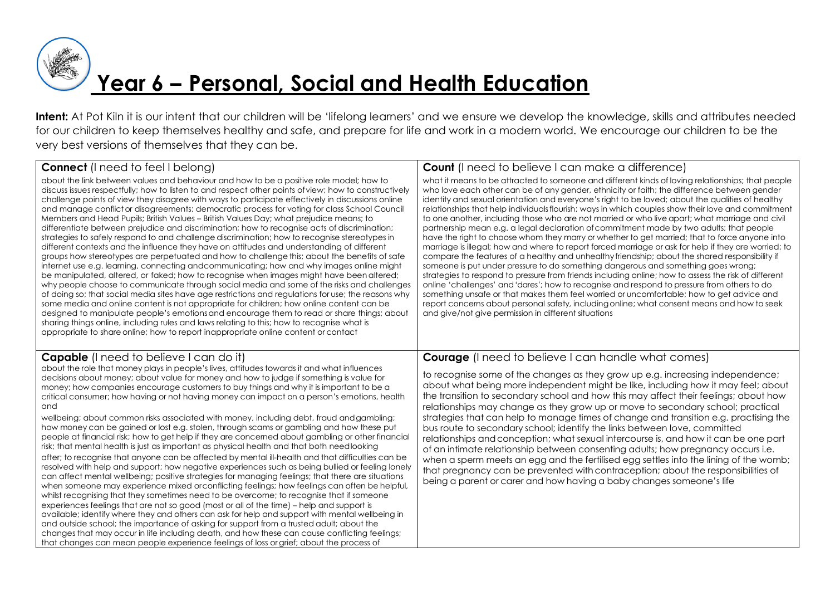

# **Year 6 – Personal, Social and Health Education**

Intent: At Pot Kiln it is our intent that our children will be 'lifelong learners' and we ensure we develop the knowledge, skills and attributes needed for our children to keep themselves healthy and safe, and prepare for life and work in a modern world. We encourage our children to be the very best versions of themselves that they can be.

| <b>Connect</b> (I need to feel I belong)                                                                                                                                                                                                                                                                                                                                                                                                                                                                                                                                                                                                                                                                                                                                                                                                                                                                                                                                                                                                                                                                                                                                                                                                                                                                                                                                                                                                                                                                                                                                                                                                                                                                                                                                                                                               | <b>Count</b> (I need to believe I can make a difference)                                                                                                                                                                                                                                                                                                                                                                                                                                                                                                                                                                                                                                                                                                                                                                                                                                                                                                                                                                                                                                                                                                                                                                                                                                                                                                                                                                                                          |
|----------------------------------------------------------------------------------------------------------------------------------------------------------------------------------------------------------------------------------------------------------------------------------------------------------------------------------------------------------------------------------------------------------------------------------------------------------------------------------------------------------------------------------------------------------------------------------------------------------------------------------------------------------------------------------------------------------------------------------------------------------------------------------------------------------------------------------------------------------------------------------------------------------------------------------------------------------------------------------------------------------------------------------------------------------------------------------------------------------------------------------------------------------------------------------------------------------------------------------------------------------------------------------------------------------------------------------------------------------------------------------------------------------------------------------------------------------------------------------------------------------------------------------------------------------------------------------------------------------------------------------------------------------------------------------------------------------------------------------------------------------------------------------------------------------------------------------------|-------------------------------------------------------------------------------------------------------------------------------------------------------------------------------------------------------------------------------------------------------------------------------------------------------------------------------------------------------------------------------------------------------------------------------------------------------------------------------------------------------------------------------------------------------------------------------------------------------------------------------------------------------------------------------------------------------------------------------------------------------------------------------------------------------------------------------------------------------------------------------------------------------------------------------------------------------------------------------------------------------------------------------------------------------------------------------------------------------------------------------------------------------------------------------------------------------------------------------------------------------------------------------------------------------------------------------------------------------------------------------------------------------------------------------------------------------------------|
| about the link between values and behaviour and how to be a positive role model; how to<br>discuss issues respectfully; how to listen to and respect other points of view; how to constructively<br>challenge points of view they disagree with ways to participate effectively in discussions online<br>and manage conflict or disagreements; democratic process for voting for class School Council<br>Members and Head Pupils; British Values – British Values Day; what prejudice means; to<br>differentiate between prejudice and discrimination; how to recognise acts of discrimination;<br>strategies to safely respond to and challenge discrimination; how to recognise stereotypes in<br>different contexts and the influence they have on attitudes and understanding of different<br>groups how stereotypes are perpetuated and how to challenge this; about the benefits of safe<br>internet use e.g. learning, connecting and communicating; how and why images online might<br>be manipulated, altered, or faked; how to recognise when images might have been altered;<br>why people choose to communicate through social media and some of the risks and challenges<br>of doing so; that social media sites have age restrictions and regulations for use; the reasons why<br>some media and online content is not appropriate for children; how online content can be<br>designed to manipulate people's emotions and encourage them to read or share things; about<br>sharing things online, including rules and laws relating to this; how to recognise what is<br>appropriate to share online; how to report inappropriate online content or contact                                                                                                                                                             | what it means to be attracted to someone and different kinds of loving relationships; that people<br>who love each other can be of any gender, ethnicity or faith; the difference between gender<br>identity and sexual orientation and everyone's right to be loved; about the qualities of healthy<br>relationships that help individuals flourish; ways in which couples show their love and commitment<br>to one another, including those who are not married or who live apart; what marriage and civil<br>partnership mean e.g. a legal declaration of commitment made by two adults; that people<br>have the right to choose whom they marry or whether to get married; that to force anyone into<br>marriage is illegal; how and where to report forced marriage or ask for help if they are worried; to<br>compare the features of a healthy and unhealthy friendship; about the shared responsibility if<br>someone is put under pressure to do something dangerous and something goes wrong;<br>strategies to respond to pressure from friends including online; how to assess the risk of different<br>online 'challenges' and 'dares'; how to recognise and respond to pressure from others to do<br>something unsafe or that makes them feel worried or uncomfortable; how to get advice and<br>report concerns about personal safety, including online; what consent means and how to seek<br>and give/not give permission in different situations |
| <b>Capable</b> (I need to believe I can do it)<br>about the role that money plays in people's lives, attitudes towards it and what influences<br>decisions about money; about value for money and how to judge if something is value for<br>money; how companies encourage customers to buy things and why it is important to be a<br>critical consumer; how having or not having money can impact on a person's emotions, health<br>and<br>wellbeing; about common risks associated with money, including debt, fraud and gambling;<br>how money can be gained or lost e.g. stolen, through scams or gambling and how these put<br>people at financial risk; how to get help if they are concerned about gambling or other financial<br>risk; that mental health is just as important as physical health and that both needlooking<br>after; to recognise that anyone can be affected by mental ill-health and that difficulties can be<br>resolved with help and support; how negative experiences such as being bullied or feeling lonely<br>can affect mental wellbeing; positive strategies for managing feelings; that there are situations<br>when someone may experience mixed or conflicting feelings; how feelings can often be helpful,<br>whilst recognising that they sometimes need to be overcome; to recognise that if someone<br>experiences feelings that are not so good (most or all of the time) – help and support is<br>available; identify where they and others can ask for help and support with mental wellbeing in<br>and outside school; the importance of asking for support from a trusted adult; about the<br>changes that may occur in life including death, and how these can cause conflicting feelings;<br>that changes can mean people experience feelings of loss or grief; about the process of | <b>Courage</b> (I need to believe I can handle what comes)<br>to recognise some of the changes as they grow up e.g. increasing independence;<br>about what being more independent might be like, including how it may feel; about<br>the transition to secondary school and how this may affect their feelings; about how<br>relationships may change as they grow up or move to secondary school; practical<br>strategies that can help to manage times of change and transition e.g. practising the<br>bus route to secondary school; identify the links between love, committed<br>relationships and conception; what sexual intercourse is, and how it can be one part<br>of an intimate relationship between consenting adults; how pregnancy occurs i.e.<br>when a sperm meets an egg and the fertilised egg settles into the lining of the womb;<br>that pregnancy can be prevented with contraception; about the responsibilities of<br>being a parent or carer and how having a baby changes someone's life                                                                                                                                                                                                                                                                                                                                                                                                                                              |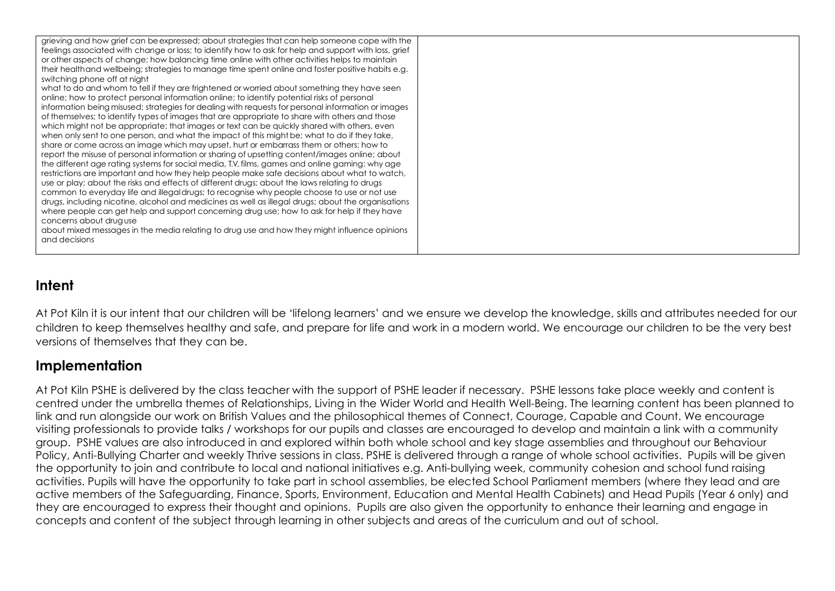| grieving and how grief can be expressed; about strategies that can help someone cope with the<br>feelings associated with change or loss; to identify how to ask for help and support with loss, grief |  |
|--------------------------------------------------------------------------------------------------------------------------------------------------------------------------------------------------------|--|
| or other aspects of change; how balancing time online with other activities helps to maintain                                                                                                          |  |
| their health and wellbeing; strategies to manage time spent online and foster positive habits e.g.                                                                                                     |  |
| switching phone off at night                                                                                                                                                                           |  |
| what to do and whom to tell if they are frightened or worried about something they have seen                                                                                                           |  |
| online; how to protect personal information online; to identify potential risks of personal                                                                                                            |  |
| information being misused; strategies for dealing with requests for personal information or images                                                                                                     |  |
| of themselves; to identify types of images that are appropriate to share with others and those                                                                                                         |  |
| which might not be appropriate; that images or text can be quickly shared with others, even                                                                                                            |  |
| when only sent to one person, and what the impact of this might be; what to do if they take,                                                                                                           |  |
| share or come across an image which may upset, hurt or embarrass them or others; how to                                                                                                                |  |
| report the misuse of personal information or sharing of upsetting content/images online; about                                                                                                         |  |
| the different age rating systems for social media, T.V, films, games and online gaming; why age                                                                                                        |  |
| restrictions are important and how they help people make safe decisions about what to watch,<br>use or play; about the risks and effects of different drugs; about the laws relating to drugs          |  |
| common to everyday life and illegal drugs; to recognise why people choose to use or not use                                                                                                            |  |
| drugs, including nicotine, alcohol and medicines as well as illegal drugs; about the organisations                                                                                                     |  |
| where people can get help and support concerning drug use; how to ask for help if they have                                                                                                            |  |
| concerns about druguse                                                                                                                                                                                 |  |
| about mixed messages in the media relating to drug use and how they might influence opinions                                                                                                           |  |
| and decisions                                                                                                                                                                                          |  |
|                                                                                                                                                                                                        |  |

#### **Intent**

At Pot Kiln it is our intent that our children will be 'lifelong learners' and we ensure we develop the knowledge, skills and attributes needed for our children to keep themselves healthy and safe, and prepare for life and work in a modern world. We encourage our children to be the very best versions of themselves that they can be.

#### **Implementation**

At Pot Kiln PSHE is delivered by the class teacher with the support of PSHE leader if necessary. PSHE lessons take place weekly and content is centred under the umbrella themes of Relationships, Living in the Wider World and Health Well-Being. The learning content has been planned to link and run alongside our work on British Values and the philosophical themes of Connect, Courage, Capable and Count. We encourage visiting professionals to provide talks / workshops for our pupils and classes are encouraged to develop and maintain a link with a community group. PSHE values are also introduced in and explored within both whole school and key stage assemblies and throughout our Behaviour Policy, Anti-Bullying Charter and weekly Thrive sessions in class. PSHE is delivered through a range of whole school activities. Pupils will be given the opportunity to join and contribute to local and national initiatives e.g. Anti-bullying week, community cohesion and school fund raising activities. Pupils will have the opportunity to take part in school assemblies, be elected School Parliament members (where they lead and are active members of the Safeguarding, Finance, Sports, Environment, Education and Mental Health Cabinets) and Head Pupils (Year 6 only) and they are encouraged to express their thought and opinions. Pupils are also given the opportunity to enhance their learning and engage in concepts and content of the subject through learning in other subjects and areas of the curriculum and out of school.